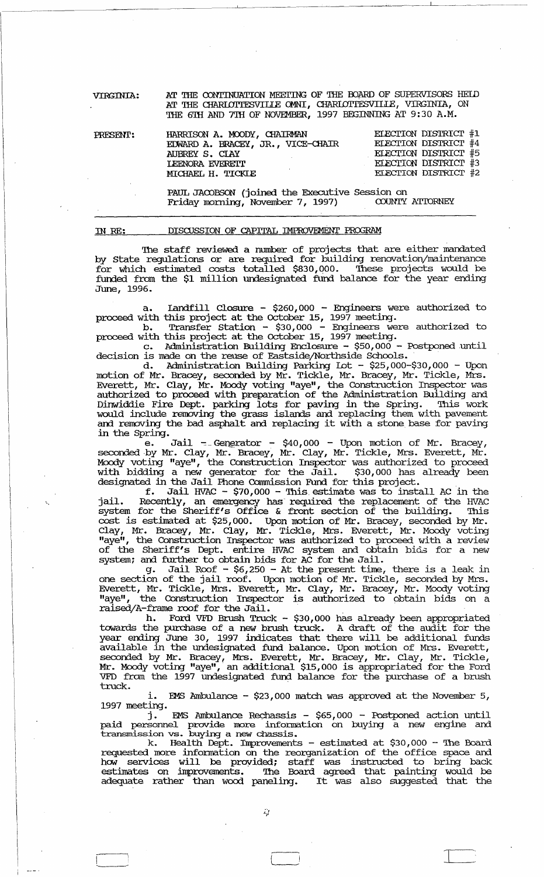AT THE CONTINUATION MEETING OF THE BOARD OF SUPERVISORS HEID VIRGINIA: AT THE CHARLOTTESVILLE OMNI, CHARLOTTESVILLE, VIRGINIA, ON THE 6TH AND 7TH OF NOVEMBER, 1997 BEGINNING AT 9:30 A.M.

| PRESENT: | HARRISON A. MOODY, CHAIRMAN       | ELECTION DISTRICT #1        |
|----------|-----------------------------------|-----------------------------|
|          | EDWARD A. BRACEY, JR., VICE-CHAIR | <b>ELECTION DISTRICT #4</b> |
|          | AUBREY S. CLAY                    | ELECTION DISTRICT #5        |
|          | <b>LEENORA EVERETT</b>            | ELECTION DISTRICT #3        |
|          | MICHAEL H. TICKIE                 | <b>ELECTION DISTRICT #2</b> |

PAUL JACOBSON (joined the Executive Session on Friday morning, November 7, 1997) COUNTY ATTORNEY

| TN RE: |  | DISCUSSION OF CAPITAL IMPROVEMENT PROGRAM |  |
|--------|--|-------------------------------------------|--|

The staff reviewed a number of projects that are either mandated by State regulations or are required for building renovation/maintenance for which estimated costs totalled \$830,000. These projects would be funded from the \$1 million undesignated fund balance for the year ending June, 1996.

a. Iandfill Closure -  $$260,000$  - Engineers were authorized to<br>proceed with this project at the October 15, 1997 meeting.<br>b. Transfer Station -  $$30,000$  - Engineers were authorized to<br>proceed with this project at the Oc

d. Administration Building Parking Iot - \$25,000-\$30,000 - Upon<br>motion of Mr. Bracey, seconded by Mr. Tickle, Mr. Bracey, Mr. Tickle, Mrs.<br>Everett, Mr. Clay, Mr. Moody voting "aye", the Construction Inspector was<br>authorize Dinwiddie Fire Dept. parking lots for paving in the Spring. This work<br>would include removing the grass islands and replacing them with pavement and removing the bad asphalt and replacing it with a stone base for paving in the Spring.

Jail - Generator -  $$40,000$  - Upon motion of Mr. Bracey, e. e. Jail - Generator - 540,000 - Upon motion or Mr. Bracey,<br>seconded by Mr. Clay, Mr. Bracey, Mr. Clay, Mr. Tickle, Mrs. Everett, Mr.<br>Moody voting "aye", the Construction Inspector was authorized to proceed<br>with bidding a n \$30,000 has already been designated in the Jail Phone Commission Fund for this project.

f. Jail HVAC - \$70,000 - This estimate was to install AC in the<br>jail. Recently, an emergency has required the replacement of the HVAC<br>system for the Sheriff's Office & front section of the building. This cost is estimated at \$25,000. Upon motion of Mr. Bracey, seconded by Mr.<br>Clay, Mr. Bracey, Mr. Clay, Mr. Tickle, Mrs. Everett, Mr. Moody voting<br>"aye", the Construction Inspector was authorized to proceed with a review of the Sheriff's Dept. entire HVAC system and obtain bids for a new system; and further to obtain bids for AC for the Jail.

g. Jail Roof - \$6,250 - At the present time, there is a leak in<br>one section of the jail roof. Upon motion of Mr. Tickle, seconded by Mrs.<br>Everett, Mr. Tickle, Mrs. Everett, Mr. Clay, Mr. Bracey, Mr. Moody voting<br>"aye", the raised/A-frame roof for the Jail.

h. Ford VFD Brush Truck - \$30,000 has already been appropriated towards the purchase of a new brush truck. A draft of the audit for the year ending June 30, 1997 indicates that there will be additional funds pur dainly suit so, 133, indicates different diete with the dedictional funds<br>available in the undesignated fund balance. Upon motion of Mrs. Everett,<br>seconded by Mr. Bracey, Mrs. Everett, Mr. Bracey, Mr. Clay, Mr. Tickle, truck.

**EMS** Ambulance  $-$  \$23,000 match was approved at the November 5, 1997 meeting.

EMS Ambulance Rechassis -  $$65,000$  - Postponed action until j. paid personnel provide more information on buying a new engine and<br>transmission vs. buying a new chassis.<br>k. Health Dept. Improvements - estimated at \$30,000 - The Board

requested more information on the reorganization of the office space and how services will be provided; staff was instructed to bring back estimates on improvements. The Board agreed that painting would be adequate rather than wood paneling. It was also suggested that the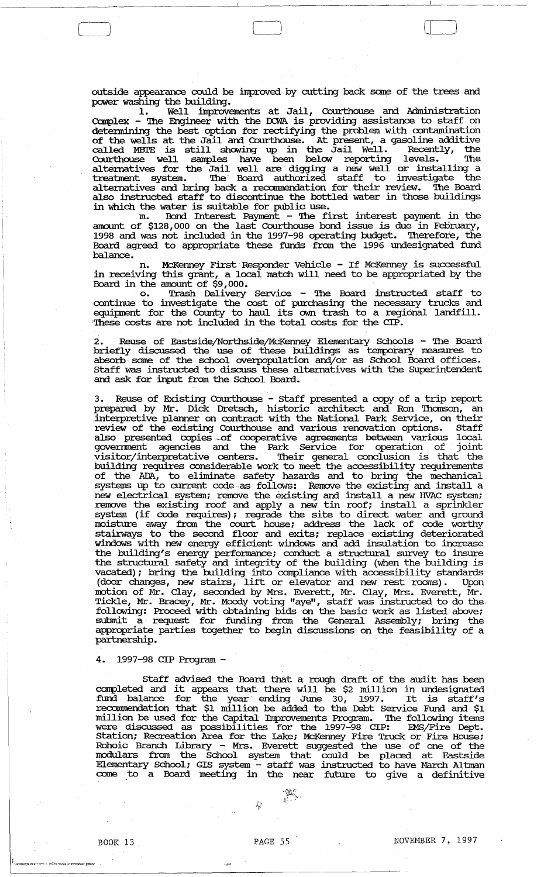outside appearance could be improved by cutting back some of the trees and power washing the building.

1. Well improvements at Jail, Courthouse and Administration Complex - 'Ihe Engineer with the OCWA is providing assistance to staff on determining the best option for rectifying the problem with contamination of the wells at the Jail and Courthouse. At present, a gasoline additive called MBI'E is still showing up in the Jail Well. Recently, the Courthouse well samples have been below reporting levels. '!he alternatives for the Jail well are digging a new well or installing a treatment system. 'Ihe' Board authorized staff to investigate the alternatives and bring back a recommendation for their review. The Board also instructed. staff to discontinue the bottled water in' those buildings in which the water is suitable for public use.

m. Bond Interest Payment - 'Ihe first interest payment in the amount of \$128, 000 on the last Courthouse bond issue is due in February, 1998 and was not included in the 1997-98 operating budget. 'Iherefore, the Board agreed to appropriate these funds from the 1996 undesignated fund balance.

n. McKenney First, Responder Vehicle - If McKenney is successful in receiving this grant, a local match will need to be appropriated by the Board in the amount of  $\frac{6}{9}$ , 000.

o. Trash Delivery service - 'Ihe Board instructed staff to continue to investigate the cost of purchasing the necessary trucks and equipment for the County to haul its own trash to a regional landfill. These costs are not included in the total costs for the CIP.

2. Reuse of Eastside/Northside/McKenney Elementary Schools - The Board briefly discussed the use of these buildings as temporary measures to absorb some of the school overpopulation and/or as School Board offices. Staff was instructed to discuss these alternatives with the SUperintendent and ask for input from the School Board.

3. Reuse of Existing Courthouse - Staff presented a copy of a trip report prepared by Mr. Dick Dretsch, historic architect and Ron Thomson, an interpretive planner on contract with the National Park Service, on their review of the existing Courthouse and various renovation options. Staff also presented copies of cooperative agreements between various local government agencies and the Park service for operation of joint visitor/interpretative centers. '!heir general conclusion is that the building requires considerable work to meet the accessibility requirements of the ADA, to eliminate safety hazards and to bring the mechanical systems up to current code·as follows: Remove the existing and install a new electrical system; remove the existing and install a new HVAC system; remove the existing roof and apply a new tin roof; install a sprinkler system (if code requires); regrade the site to direct water and ground moisture away from the court house; address the lack of code worthy stahways to the second floor and exits; replace existing deteriorated windows with new energy efficient windows and add insulation to increase the building's energy perfonnance; conduct a structural survey to insure the structural safety and integrity of the building (when the building is vacated); bring the building into compliance with accessibility standards (door changes, new stairs, lift or elevator and new rest rooms). Upon motion of Mr. Clay, seconded by Mrs. Everett, Mr. Clay, Mrs. Everett, Mr. Tickle, Mr. Bracey, Mr. Moody voting "aye", staff was instructed to do the following: Proceed with obtaining bids on the basic work as listed above; submit a request for funding from the General Assembly; bring the appropriate parties together to begin discussions on the feasibility of a partnership.

### 4. 1997-98 CIP Program -

Staff advised the Board that a rough draft of the audit has been stall advised the board that a rough drait of the audit has been<br>completed and it appears that there will be \$2 million in undesignated fund balance for the year ending June 30, 1997. It is staff's recommendation that \$1 million be added to the Debt service Fund and \$1 million be used for the Capital Improvements Program. The following items were discussed as possibilities for the 1997-98 CIP: EMS/Fire Dept. Station; Recreation Area for the Lake; McKenney Fire Truck or Fire House; Rohoic Branch Library - Mrs. Everett suggested the use of one of the modulars from the School system that could be placed at Eastside Elementary School; GIS system - staff was instructed to have March Altman come to a Board meeting in the near future to give a definitive

 $\sum_{i=1}^{n} \sum_{j=1}^{n}$ 

 $\hat{L}_{\mu\nu}^{(1)}$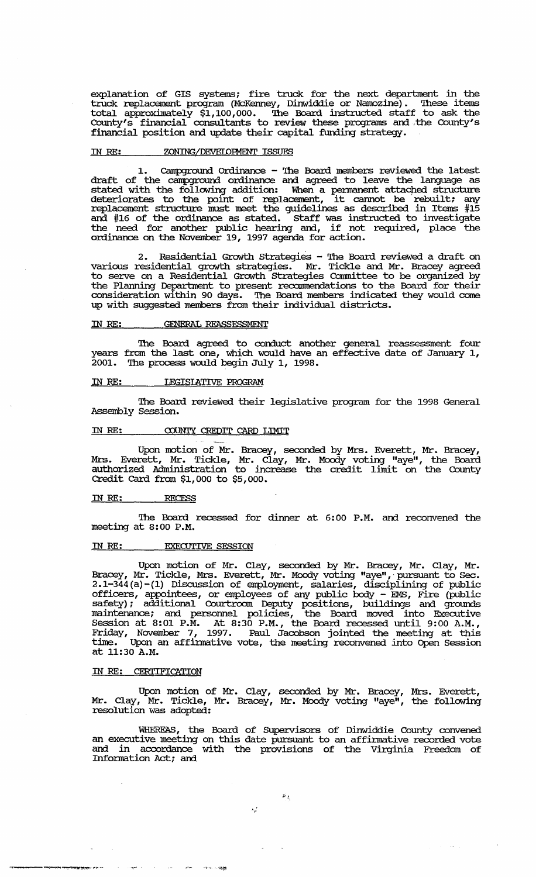explanation of GIS systems; fire truck for the next department in the truck replacement program (McKenney, Dinwiddie or Namozine). 'Ihese items total approximately \$1,100,000. 'Ihe Board instructed staff to ask the County's financial consultants to review these programs and ,the COUnty's financial position and update their capital funding strategy.

#### IN RE: ZONING/DEVELOPMENT ISSUES

Campground Ordinance - The Board members reviewed the latest draft of the campground ordinance and agreed to leave the language as stated with the following addition: When a permanent attached structure stated with the following addition: when a permanent attached structure<br>deteriorates to the point of replacement, it cannot be rebuilt; any replacement structure must neet the guidelines as described in Items #15 and #16 of the ordinance as stated. Staff was instructed to investigate the need for another public hearing and, if not required, place the ordinance on the November 19, 1997 agenda for action.

2. Residential Growth Strategies - The Board reviewed a draft on various residential growth strategies. Mr. Tickle and Mr. Bracey agreed to serve on a Residential Growth Strategies Committee to be organized by the Planning Department to present recommendations to the Board for their consideration within 90 days. The Board members indicated they would come up with suggested members from their individual districts.

### IN RE: GENERAL REASSESSMENT

'Ihe Board agreed to conduct another general reassessment four years from the last one, which would have an effective date of January 1, 2001. '!he process would begin July 1, 1998.

#### IN *RE:* IEGISIATIVE PROGRAM

The Board reviewed their legislative program for the 1998 General Assembly Session.

# IN RE: COUNTY CREDIT CARD LIMIT

Upon motion of Mr. Bracey, seconded by Mrs. Everett, Mr. Bracey, Mrs. Everett, Mr. Tickle, Mr. Clay, Mr. Moody voting "aye", the Board authorized Administration to increase the credit limit on the County Credit Card from \$1,000 to \$5,000.

#### IN *RE: RECESS*

'Ihe Board recessed for dinner at 6:00 P.M. and reconvened the meeting at 8:00 P.M.

#### IN RE: EXECUTIVE SESSION

""-.,...-~~~~~~ .. ....-;,~

Upon motion of Mr. Clay, seconded by Mr. Bracey, Mr. Clay, Mr. Bracey, Mr. Tickle, Mrs. Everett, Mr. Moody voting "aye", pursuant to Sec. 2.1-344 (a)-(I) Discussion of employment, salaries, disciplining of public officers, appointees, or employees of any public body - EMS, Fire (public safety); additional Courtroom Deputy positions, buildings and grounds maintenance; and persormel policies, the Board moved into Executive Session at 8:01 P.M. At 8:30 P.M., the Board recessed until 9:00 A.M., Friday, November 7, 1997. Paul Jacobson jointed the meeting at this time. Upon an affinnative vote, the meeting reconvened into Open Session time. Upon at 11:30 A.M.

#### IN *RE:* CERI'IFICATION

Upon motion of Mr. Clay, seconded by Mr. Bracey, Mrs. Everett, Mr. Clay, Mr. Tickle, Mr. Bracey, Mr. Moody voting "aye", the following resolution was adopted:

WHEREAS, the Board of SUpervisors of Dinwiddie County convened an executive meeting on this date pursuant to an affirmative recorded vote and in accordance with the provisions of the Virginia Freedom of Information Act; and

 $\mathcal{A}^{\text{in}}$  ,  $\mathcal{A}^{\text{in}}$ 

 $\gamma_p^{(t)}$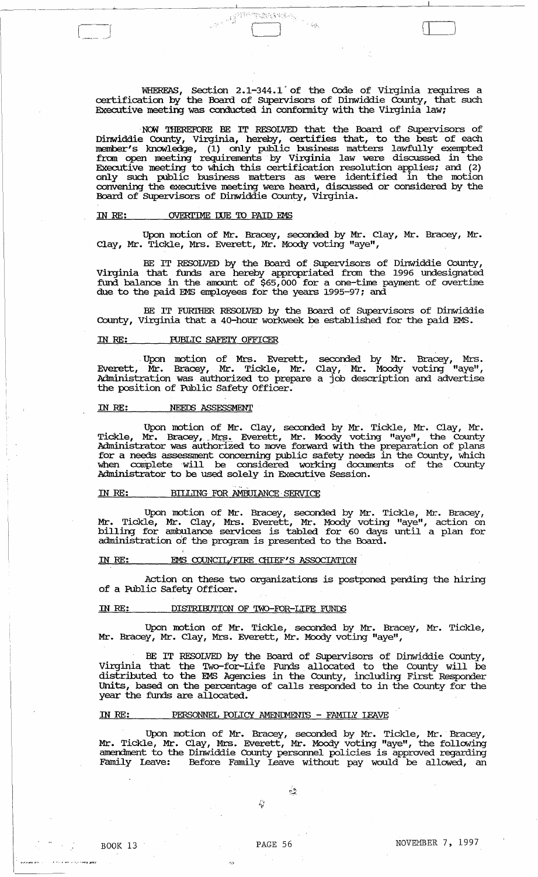WHEREAS, Section 2.1-344.1 of the Code of Virginia requires a certification by the Board of SUpervisors of Dinwiddie County, that such Executive meeting was conducted in confonnity with the Virginia law;

( I  $\sim$ 

. NCM 'IHEREFORE BE IT RESOLVED that the Board of SUpervisors of Dinwiddie County, Virginia, hereby, certifies that, to the best of each member's knowledge, (1) only public business matters lawfully exempted from open meeting requirements by Virginia law were discussed in the Executive meeting to which this certification resolution applies; and (2) only such public business matters as were identified in the motion convening the executive meeting were heard, discussed or considered by the Board of SUpervisors of Dinwiddie County, Virginia.

### IN RE: OVERTIME DUE TO PAID EMS

Upon motion of Mr. Bracey, seconded by Mr. Clay, Mr. Bracey, Mr. Clay, Mr. Tickle, Mrs. Everett, Mr. Moody voting "aye",

BE IT RESOLVED by the Board of SUpervisors of Dinwiddie County, Virginia that funds are hereby appropriated from the 1996 undesignated fund balance in the amount of \$65,000 for a one-time payment of overtime due to the paid EMS employees for the years 1995-97; and

BE IT FURTHER RESOLVED by the Board of Supervisors of Dinwiddie County, Virginia that a 40-hour workweek be established for the paid EMS.

### IN RE: PUBLIC SAFETY OFFICER

. Upon motion of Mrs. Everett, seconded by Mr. Bracey, Mrs. Everett, Mr. Bracey, Mr. Tickle, Mr. Clay, Mr. Moody voting "aye", Administration was authorized to prepare a job description and advertise the position of Public Safety Officer.

### IN RE: NEEDS ASSESSMENT

Upon motion of Mr. clay, seconded by Mr. Tickle, Mr. Clay, Mr. Tickle, Mr. Bracey, Mrs. Everett, Mr. Moody voting "aye", the County Administrator was authorized to move forward with the preparation of plans for a needs assessment concerning public safety needs in the County, which when complete will be considered working documents of the County Administrator to be used solely in Executive Session.

# IN RE: BILLING FOR AMBUlANCE· SERVICE

Upon motion of Mr. Bracey, seconded by Mr. Tickle, Mr. Bracey, Mr. Tickle, Mr. Clay, Mrs. Everett, Mr. Moody voting "aye", action on billing for ambulance services is tabled for 60 days until a plan for administration of the program is presented to the Board.

# IN RE: EMS COUNCIL/FIRE CHIEF'S ASSOCIATION

Action on these two organizations is postponed pending the hiring of a Public Safety Officer.

#### IN RE: DISTRIBUTION OF TWO-FOR-LIFE FUNDS

Upon motion of Mr. Tickle, seconded by Mr. Bracey, Mr. Tickle, Mr. Bracey, Mr. Clay, Mrs. Everett, Mr. Moody voting "aye",

BE IT RESOLVED by the Board of SUpervisors of Dinwiddie County, Virginia that the Two-for-Life FUnds allocated to the County will be distributed to the EMS Agencies in the County, including First Responder Units, based on the percentage of calls responded to in the County for the year the funds are allocated.

# IN RE: PERSONNEL POLICY AMENIMENTS - FAMILY LEAVE

Upon motion of Mr. Bracey, seconded by Mr. Tickle, Mr. Bracey, Mr. Tickle, Mr. Clay, Mrs. Everett, Mr. Moody voting "aye", the following amendment to the Dinwiddie County personnel policies is approved regarding Family Leave: Before Family Leave without pay would be allowed, an

 $\mathbb{R}^n$ 

 $\mathcal{L}_p$